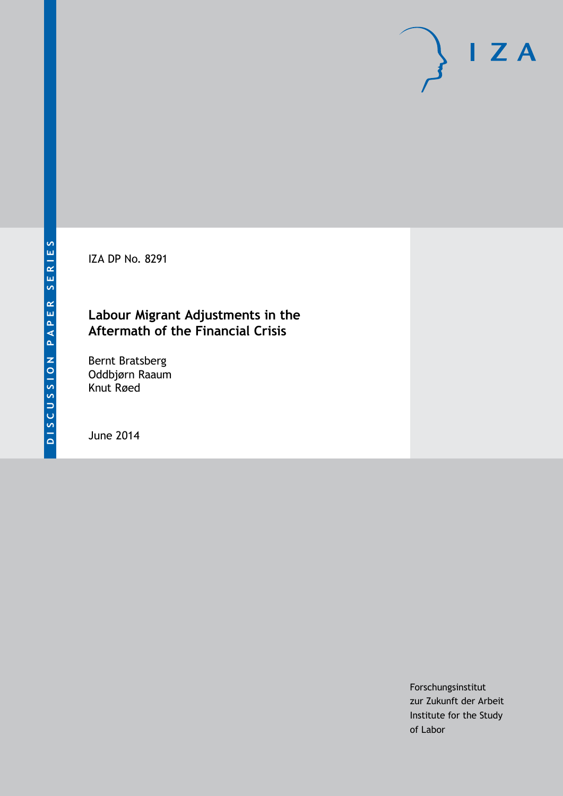IZA DP No. 8291

### **Labour Migrant Adjustments in the Aftermath of the Financial Crisis**

Bernt Bratsberg Oddbjørn Raaum Knut Røed

June 2014

Forschungsinstitut zur Zukunft der Arbeit Institute for the Study of Labor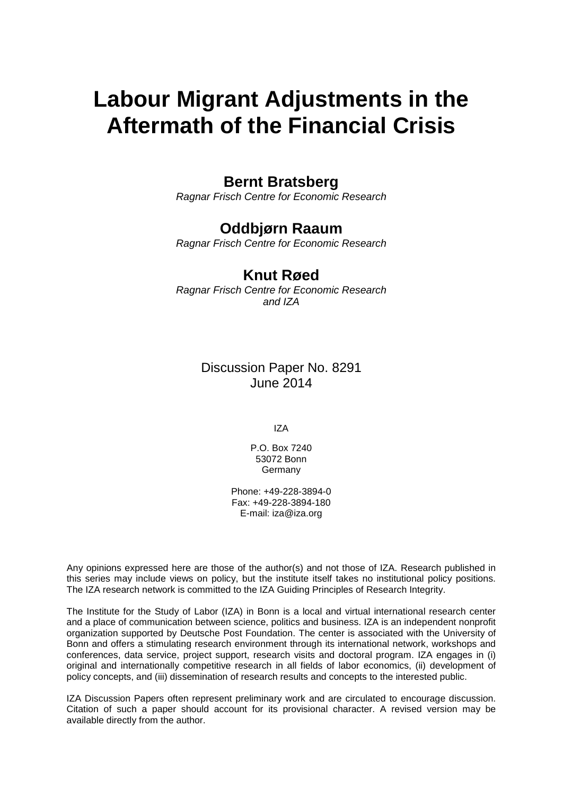# **Labour Migrant Adjustments in the Aftermath of the Financial Crisis**

### **Bernt Bratsberg**

*Ragnar Frisch Centre for Economic Research*

## **Oddbjørn Raaum**

*Ragnar Frisch Centre for Economic Research*

### **Knut Røed**

*Ragnar Frisch Centre for Economic Research and IZA*

> Discussion Paper No. 8291 June 2014

> > IZA

P.O. Box 7240 53072 Bonn **Germany** 

Phone: +49-228-3894-0 Fax: +49-228-3894-180 E-mail: [iza@iza.org](mailto:iza@iza.org)

Any opinions expressed here are those of the author(s) and not those of IZA. Research published in this series may include views on policy, but the institute itself takes no institutional policy positions. The IZA research network is committed to the IZA Guiding Principles of Research Integrity.

The Institute for the Study of Labor (IZA) in Bonn is a local and virtual international research center and a place of communication between science, politics and business. IZA is an independent nonprofit organization supported by Deutsche Post Foundation. The center is associated with the University of Bonn and offers a stimulating research environment through its international network, workshops and conferences, data service, project support, research visits and doctoral program. IZA engages in (i) original and internationally competitive research in all fields of labor economics, (ii) development of policy concepts, and (iii) dissemination of research results and concepts to the interested public.

<span id="page-1-0"></span>IZA Discussion Papers often represent preliminary work and are circulated to encourage discussion. Citation of such a paper should account for its provisional character. A revised version may be available directly from the author.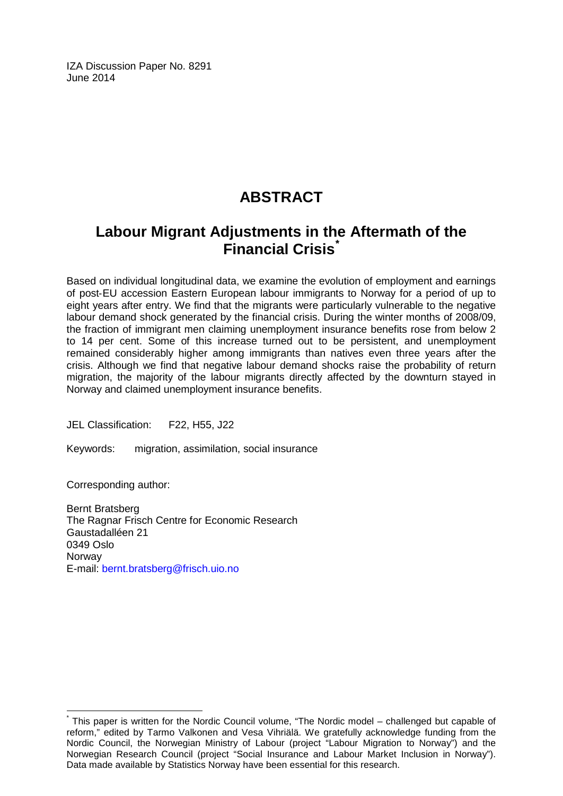IZA Discussion Paper No. 8291 June 2014

# **ABSTRACT**

# **Labour Migrant Adjustments in the Aftermath of the Financial Crisis[\\*](#page-1-0)**

Based on individual longitudinal data, we examine the evolution of employment and earnings of post‐EU accession Eastern European labour immigrants to Norway for a period of up to eight years after entry. We find that the migrants were particularly vulnerable to the negative labour demand shock generated by the financial crisis. During the winter months of 2008/09, the fraction of immigrant men claiming unemployment insurance benefits rose from below 2 to 14 per cent. Some of this increase turned out to be persistent, and unemployment remained considerably higher among immigrants than natives even three years after the crisis. Although we find that negative labour demand shocks raise the probability of return migration, the majority of the labour migrants directly affected by the downturn stayed in Norway and claimed unemployment insurance benefits.

JEL Classification: F22, H55, J22

Keywords: migration, assimilation, social insurance

Corresponding author:

Bernt Bratsberg The Ragnar Frisch Centre for Economic Research Gaustadalléen 21 0349 Oslo **Norway** E-mail: [bernt.bratsberg@frisch.uio.no](mailto:bernt.bratsberg@frisch.uio.no)

This paper is written for the Nordic Council volume, "The Nordic model – challenged but capable of reform," edited by Tarmo Valkonen and Vesa Vihriälä. We gratefully acknowledge funding from the Nordic Council, the Norwegian Ministry of Labour (project "Labour Migration to Norway") and the Norwegian Research Council (project "Social Insurance and Labour Market Inclusion in Norway"). Data made available by Statistics Norway have been essential for this research.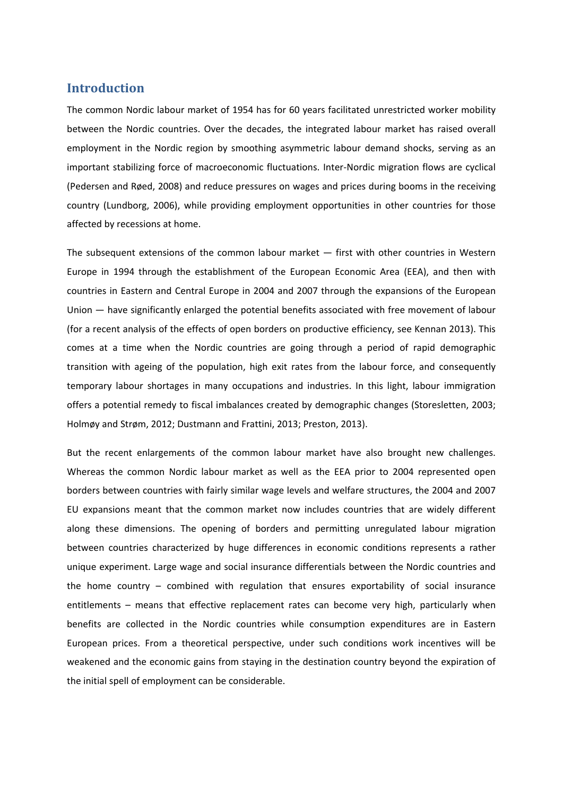#### **Introduction**

The common Nordic labour market of 1954 has for 60 years facilitated unrestricted worker mobility between the Nordic countries. Over the decades, the integrated labour market has raised overall employment in the Nordic region by smoothing asymmetric labour demand shocks, serving as an important stabilizing force of macroeconomic fluctuations. Inter‐Nordic migration flows are cyclical (Pedersen and Røed, 2008) and reduce pressures on wages and prices during booms in the receiving country (Lundborg, 2006), while providing employment opportunities in other countries for those affected by recessions at home.

The subsequent extensions of the common labour market — first with other countries in Western Europe in 1994 through the establishment of the European Economic Area (EEA), and then with countries in Eastern and Central Europe in 2004 and 2007 through the expansions of the European Union — have significantly enlarged the potential benefits associated with free movement of labour (for a recent analysis of the effects of open borders on productive efficiency, see Kennan 2013). This comes at a time when the Nordic countries are going through a period of rapid demographic transition with ageing of the population, high exit rates from the labour force, and consequently temporary labour shortages in many occupations and industries. In this light, labour immigration offers a potential remedy to fiscal imbalances created by demographic changes (Storesletten, 2003; Holmøy and Strøm, 2012; Dustmann and Frattini, 2013; Preston, 2013).

But the recent enlargements of the common labour market have also brought new challenges. Whereas the common Nordic labour market as well as the EEA prior to 2004 represented open borders between countries with fairly similar wage levels and welfare structures, the 2004 and 2007 EU expansions meant that the common market now includes countries that are widely different along these dimensions. The opening of borders and permitting unregulated labour migration between countries characterized by huge differences in economic conditions represents a rather unique experiment. Large wage and social insurance differentials between the Nordic countries and the home country – combined with regulation that ensures exportability of social insurance entitlements – means that effective replacement rates can become very high, particularly when benefits are collected in the Nordic countries while consumption expenditures are in Eastern European prices. From a theoretical perspective, under such conditions work incentives will be weakened and the economic gains from staying in the destination country beyond the expiration of the initial spell of employment can be considerable.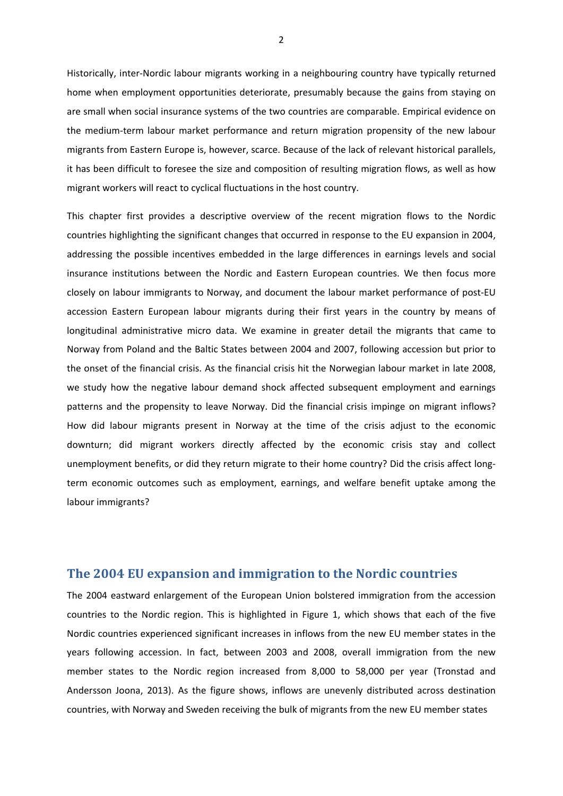Historically, inter‐Nordic labour migrants working in a neighbouring country have typically returned home when employment opportunities deteriorate, presumably because the gains from staying on are small when social insurance systems of the two countries are comparable. Empirical evidence on the medium‐term labour market performance and return migration propensity of the new labour migrants from Eastern Europe is, however, scarce. Because of the lack of relevant historical parallels, it has been difficult to foresee the size and composition of resulting migration flows, as well as how migrant workers will react to cyclical fluctuations in the host country.

This chapter first provides a descriptive overview of the recent migration flows to the Nordic countries highlighting the significant changes that occurred in response to the EU expansion in 2004, addressing the possible incentives embedded in the large differences in earnings levels and social insurance institutions between the Nordic and Eastern European countries. We then focus more closely on labour immigrants to Norway, and document the labour market performance of post‐EU accession Eastern European labour migrants during their first years in the country by means of longitudinal administrative micro data. We examine in greater detail the migrants that came to Norway from Poland and the Baltic States between 2004 and 2007, following accession but prior to the onset of the financial crisis. As the financial crisis hit the Norwegian labour market in late 2008, we study how the negative labour demand shock affected subsequent employment and earnings patterns and the propensity to leave Norway. Did the financial crisis impinge on migrant inflows? How did labour migrants present in Norway at the time of the crisis adjust to the economic downturn; did migrant workers directly affected by the economic crisis stay and collect unemployment benefits, or did they return migrate to their home country? Did the crisis affect longterm economic outcomes such as employment, earnings, and welfare benefit uptake among the labour immigrants?

#### **The 2004 EU expansion and immigration to the Nordic countries**

The 2004 eastward enlargement of the European Union bolstered immigration from the accession countries to the Nordic region. This is highlighted in Figure 1, which shows that each of the five Nordic countries experienced significant increases in inflows from the new EU member states in the years following accession. In fact, between 2003 and 2008, overall immigration from the new member states to the Nordic region increased from 8,000 to 58,000 per year (Tronstad and Andersson Joona, 2013). As the figure shows, inflows are unevenly distributed across destination countries, with Norway and Sweden receiving the bulk of migrants from the new EU member states

2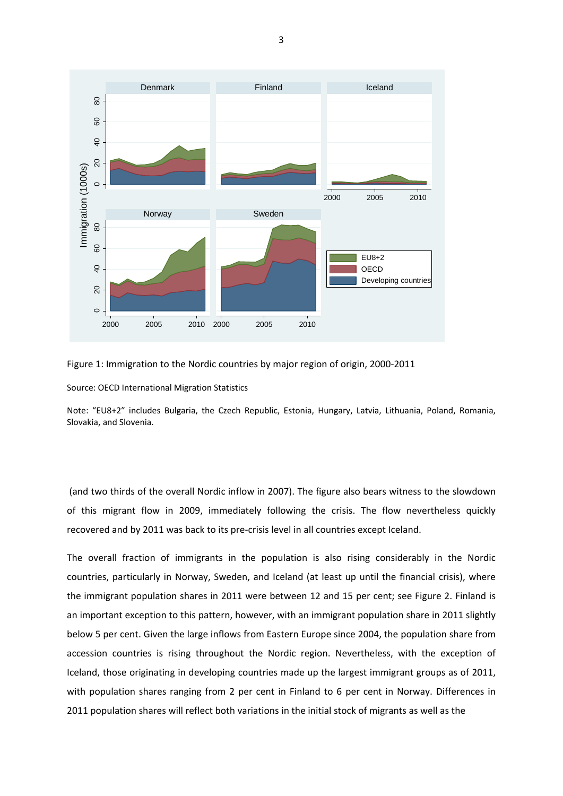

Figure 1: Immigration to the Nordic countries by major region of origin, 2000‐2011

Source: OECD International Migration Statistics

Note: "EU8+2" includes Bulgaria, the Czech Republic, Estonia, Hungary, Latvia, Lithuania, Poland, Romania, Slovakia, and Slovenia.

(and two thirds of the overall Nordic inflow in 2007). The figure also bears witness to the slowdown of this migrant flow in 2009, immediately following the crisis. The flow nevertheless quickly recovered and by 2011 was back to its pre-crisis level in all countries except Iceland.

The overall fraction of immigrants in the population is also rising considerably in the Nordic countries, particularly in Norway, Sweden, and Iceland (at least up until the financial crisis), where the immigrant population shares in 2011 were between 12 and 15 per cent; see Figure 2. Finland is an important exception to this pattern, however, with an immigrant population share in 2011 slightly below 5 per cent. Given the large inflows from Eastern Europe since 2004, the population share from accession countries is rising throughout the Nordic region. Nevertheless, with the exception of Iceland, those originating in developing countries made up the largest immigrant groups as of 2011, with population shares ranging from 2 per cent in Finland to 6 per cent in Norway. Differences in 2011 population shares will reflect both variations in the initial stock of migrants as well as the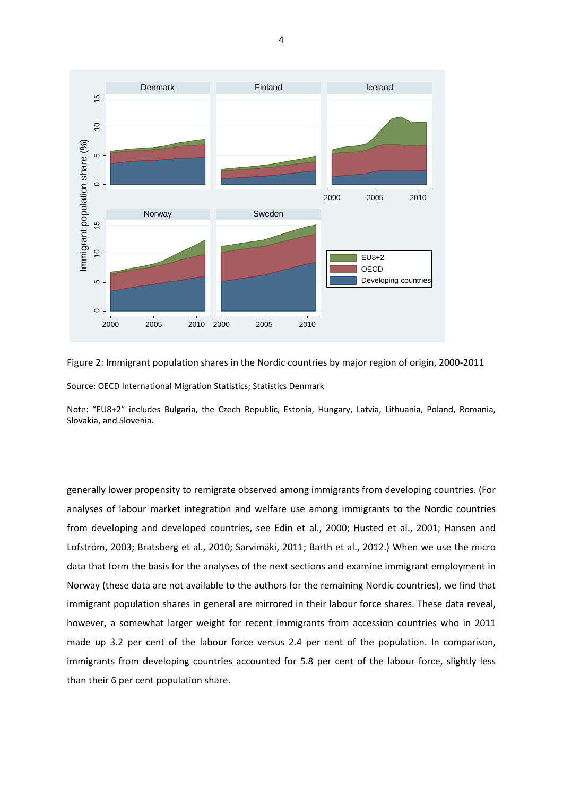

Figure 2: Immigrant population shares in the Nordic countries by major region of origin, 2000‐2011 Source: OECD International Migration Statistics; Statistics Denmark

Note: "EU8+2" includes Bulgaria, the Czech Republic, Estonia, Hungary, Latvia, Lithuania, Poland, Romania, Slovakia, and Slovenia.

generally lower propensity to remigrate observed among immigrants from developing countries. (For analyses of labour market integration and welfare use among immigrants to the Nordic countries from developing and developed countries, see Edin et al., 2000; Husted et al., 2001; Hansen and Lofström, 2003; Bratsberg et al., 2010; Sarvimäki, 2011; Barth et al., 2012.) When we use the micro data that form the basis for the analyses of the next sections and examine immigrant employment in Norway (these data are not available to the authors for the remaining Nordic countries), we find that immigrant population shares in general are mirrored in their labour force shares. These data reveal, however, a somewhat larger weight for recent immigrants from accession countries who in 2011 made up 3.2 per cent of the labour force versus 2.4 per cent of the population. In comparison, immigrants from developing countries accounted for 5.8 per cent of the labour force, slightly less than their 6 per cent population share.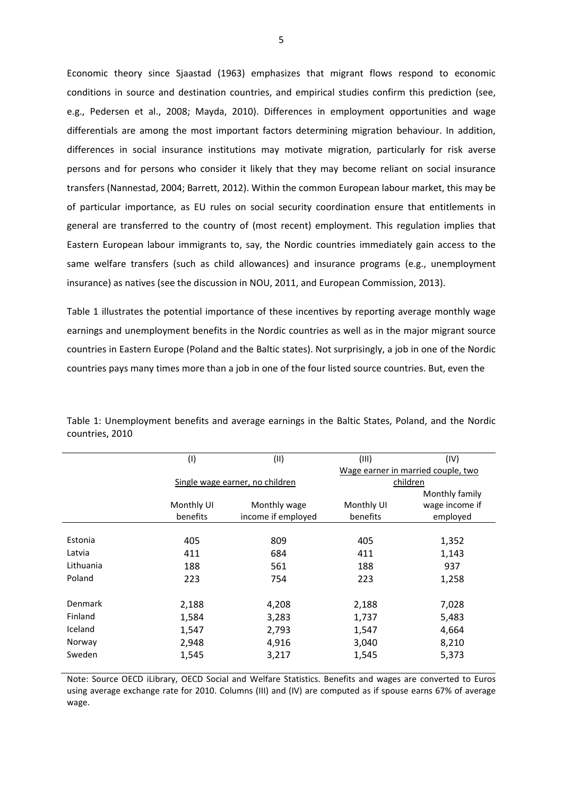Economic theory since Sjaastad (1963) emphasizes that migrant flows respond to economic conditions in source and destination countries, and empirical studies confirm this prediction (see, e.g., Pedersen et al., 2008; Mayda, 2010). Differences in employment opportunities and wage differentials are among the most important factors determining migration behaviour. In addition, differences in social insurance institutions may motivate migration, particularly for risk averse persons and for persons who consider it likely that they may become reliant on social insurance transfers (Nannestad, 2004; Barrett, 2012). Within the common European labour market, this may be of particular importance, as EU rules on social security coordination ensure that entitlements in general are transferred to the country of (most recent) employment. This regulation implies that Eastern European labour immigrants to, say, the Nordic countries immediately gain access to the same welfare transfers (such as child allowances) and insurance programs (e.g., unemployment insurance) as natives (see the discussion in NOU, 2011, and European Commission, 2013).

Table 1 illustrates the potential importance of these incentives by reporting average monthly wage earnings and unemployment benefits in the Nordic countries as well as in the major migrant source countries in Eastern Europe (Poland and the Baltic states). Not surprisingly, a job in one of the Nordic countries pays many times more than a job in one of the four listed source countries. But, even the

| (IV)<br>Wage earner in married couple, two |  |  |  |
|--------------------------------------------|--|--|--|
|                                            |  |  |  |
|                                            |  |  |  |
| children                                   |  |  |  |
| Monthly family                             |  |  |  |
| wage income if<br>Monthly UI               |  |  |  |
| benefits<br>employed                       |  |  |  |
|                                            |  |  |  |
| 1,352                                      |  |  |  |
| 1,143                                      |  |  |  |
| 937                                        |  |  |  |
| 1,258                                      |  |  |  |
|                                            |  |  |  |
| 2,188<br>7,028                             |  |  |  |
| 1,737<br>5,483                             |  |  |  |
| 1,547<br>4,664                             |  |  |  |
| 3,040<br>8,210                             |  |  |  |
| 1,545<br>5,373                             |  |  |  |
|                                            |  |  |  |

Table 1: Unemployment benefits and average earnings in the Baltic States, Poland, and the Nordic countries, 2010

Note: Source OECD iLibrary, OECD Social and Welfare Statistics. Benefits and wages are converted to Euros using average exchange rate for 2010. Columns (III) and (IV) are computed as if spouse earns 67% of average wage.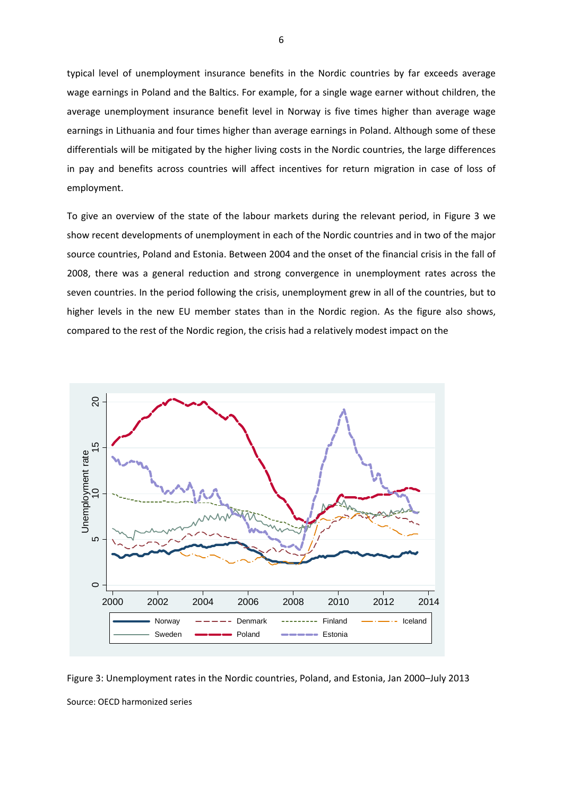typical level of unemployment insurance benefits in the Nordic countries by far exceeds average wage earnings in Poland and the Baltics. For example, for a single wage earner without children, the average unemployment insurance benefit level in Norway is five times higher than average wage earnings in Lithuania and four times higher than average earnings in Poland. Although some of these differentials will be mitigated by the higher living costs in the Nordic countries, the large differences in pay and benefits across countries will affect incentives for return migration in case of loss of employment.

To give an overview of the state of the labour markets during the relevant period, in Figure 3 we show recent developments of unemployment in each of the Nordic countries and in two of the major source countries, Poland and Estonia. Between 2004 and the onset of the financial crisis in the fall of 2008, there was a general reduction and strong convergence in unemployment rates across the seven countries. In the period following the crisis, unemployment grew in all of the countries, but to higher levels in the new EU member states than in the Nordic region. As the figure also shows, compared to the rest of the Nordic region, the crisis had a relatively modest impact on the



Figure 3: Unemployment rates in the Nordic countries, Poland, and Estonia, Jan 2000–July 2013 Source: OECD harmonized series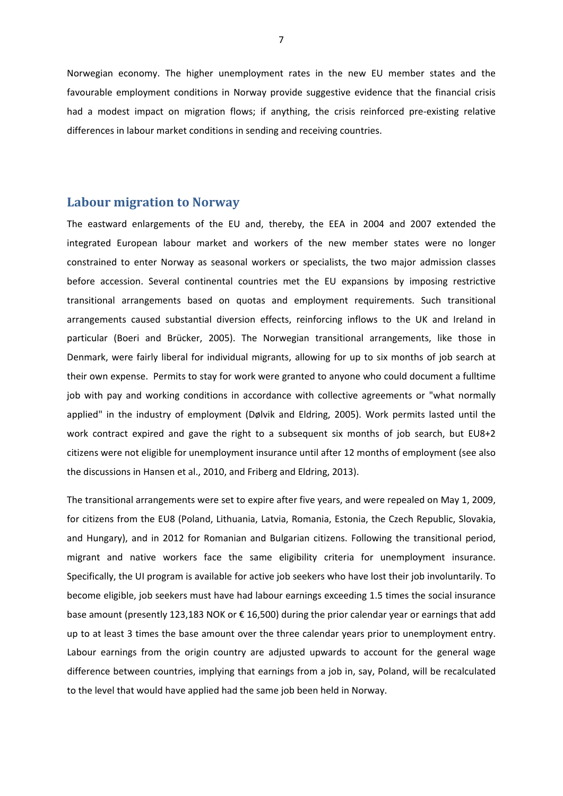Norwegian economy. The higher unemployment rates in the new EU member states and the favourable employment conditions in Norway provide suggestive evidence that the financial crisis had a modest impact on migration flows; if anything, the crisis reinforced pre-existing relative differences in labour market conditions in sending and receiving countries.

#### **Labour migration to Norway**

The eastward enlargements of the EU and, thereby, the EEA in 2004 and 2007 extended the integrated European labour market and workers of the new member states were no longer constrained to enter Norway as seasonal workers or specialists, the two major admission classes before accession. Several continental countries met the EU expansions by imposing restrictive transitional arrangements based on quotas and employment requirements. Such transitional arrangements caused substantial diversion effects, reinforcing inflows to the UK and Ireland in particular (Boeri and Brücker, 2005). The Norwegian transitional arrangements, like those in Denmark, were fairly liberal for individual migrants, allowing for up to six months of job search at their own expense. Permits to stay for work were granted to anyone who could document a fulltime job with pay and working conditions in accordance with collective agreements or "what normally applied" in the industry of employment (Dølvik and Eldring, 2005). Work permits lasted until the work contract expired and gave the right to a subsequent six months of job search, but EU8+2 citizens were not eligible for unemployment insurance until after 12 months of employment (see also the discussions in Hansen et al., 2010, and Friberg and Eldring, 2013).

The transitional arrangements were set to expire after five years, and were repealed on May 1, 2009, for citizens from the EU8 (Poland, Lithuania, Latvia, Romania, Estonia, the Czech Republic, Slovakia, and Hungary), and in 2012 for Romanian and Bulgarian citizens. Following the transitional period, migrant and native workers face the same eligibility criteria for unemployment insurance. Specifically, the UI program is available for active job seekers who have lost their job involuntarily. To become eligible, job seekers must have had labour earnings exceeding 1.5 times the social insurance base amount (presently 123,183 NOK or € 16,500) during the prior calendar year or earnings that add up to at least 3 times the base amount over the three calendar years prior to unemployment entry. Labour earnings from the origin country are adjusted upwards to account for the general wage difference between countries, implying that earnings from a job in, say, Poland, will be recalculated to the level that would have applied had the same job been held in Norway.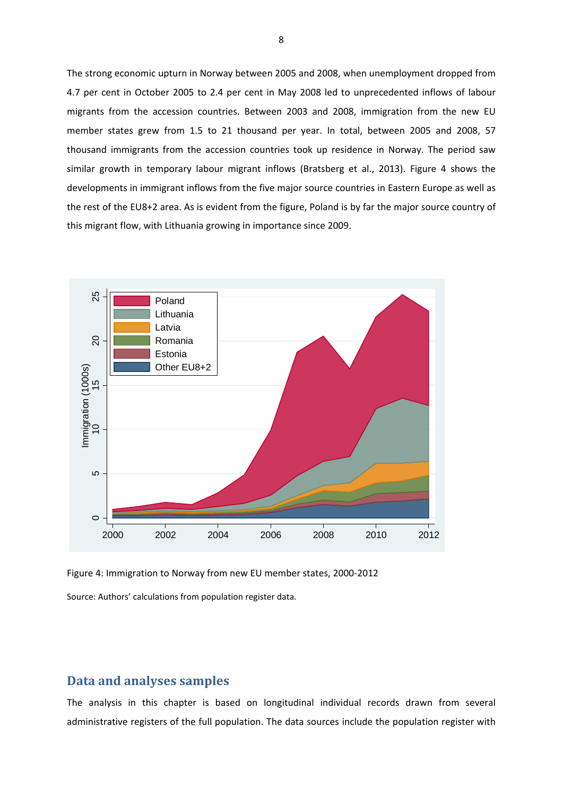The strong economic upturn in Norway between 2005 and 2008, when unemployment dropped from 4.7 per cent in October 2005 to 2.4 per cent in May 2008 led to unprecedented inflows of labour migrants from the accession countries. Between 2003 and 2008, immigration from the new EU member states grew from 1.5 to 21 thousand per year. In total, between 2005 and 2008, 57 thousand immigrants from the accession countries took up residence in Norway. The period saw similar growth in temporary labour migrant inflows (Bratsberg et al., 2013). Figure 4 shows the developments in immigrant inflows from the five major source countries in Eastern Europe as well as the rest of the EU8+2 area. As is evident from the figure, Poland is by far the major source country of this migrant flow, with Lithuania growing in importance since 2009.



Figure 4: Immigration to Norway from new EU member states, 2000‐2012 Source: Authors' calculations from population register data.

#### **Data and analyses samples**

The analysis in this chapter is based on longitudinal individual records drawn from several administrative registers of the full population. The data sources include the population register with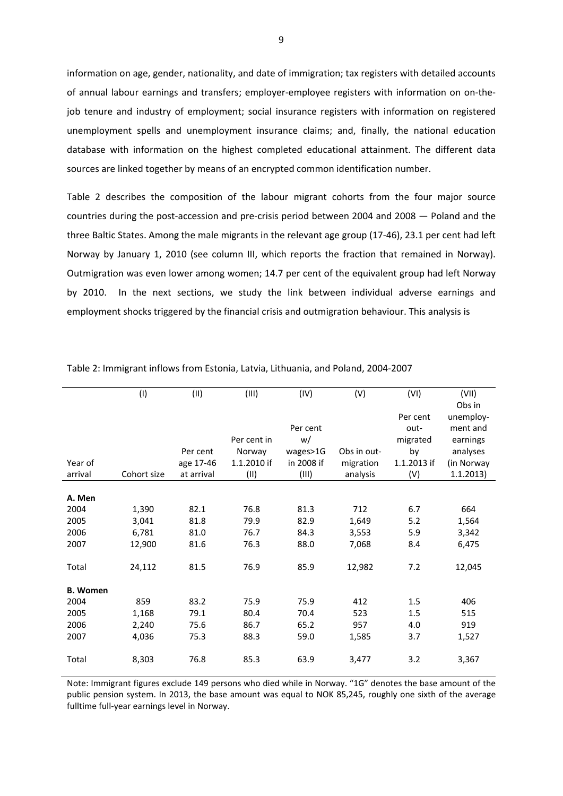information on age, gender, nationality, and date of immigration; tax registers with detailed accounts of annual labour earnings and transfers; employer‐employee registers with information on on‐the‐ job tenure and industry of employment; social insurance registers with information on registered unemployment spells and unemployment insurance claims; and, finally, the national education database with information on the highest completed educational attainment. The different data sources are linked together by means of an encrypted common identification number.

Table 2 describes the composition of the labour migrant cohorts from the four major source countries during the post-accession and pre-crisis period between 2004 and 2008 - Poland and the three Baltic States. Among the male migrants in the relevant age group (17‐46), 23.1 per cent had left Norway by January 1, 2010 (see column III, which reports the fraction that remained in Norway). Outmigration was even lower among women; 14.7 per cent of the equivalent group had left Norway by 2010. In the next sections, we study the link between individual adverse earnings and employment shocks triggered by the financial crisis and outmigration behaviour. This analysis is

|                 | (1)         | (II)       | (III)       | (IV)       | (V)         | (VI)        | (VII)               |
|-----------------|-------------|------------|-------------|------------|-------------|-------------|---------------------|
|                 |             |            |             |            |             | Per cent    | Obs in<br>unemploy- |
|                 |             |            |             | Per cent   |             | out-        | ment and            |
|                 |             |            | Per cent in | w/         |             | migrated    | earnings            |
|                 |             | Per cent   | Norway      | wages>1G   | Obs in out- | by          | analyses            |
| Year of         |             | age 17-46  | 1.1.2010 if | in 2008 if | migration   | 1.1.2013 if | (in Norway          |
| arrival         | Cohort size | at arrival | (II)        | (III)      | analysis    | (V)         | 1.1.2013)           |
|                 |             |            |             |            |             |             |                     |
| A. Men          |             |            |             |            |             |             |                     |
| 2004            | 1,390       | 82.1       | 76.8        | 81.3       | 712         | 6.7         | 664                 |
| 2005            | 3,041       | 81.8       | 79.9        | 82.9       | 1,649       | 5.2         | 1,564               |
| 2006            | 6,781       | 81.0       | 76.7        | 84.3       | 3,553       | 5.9         | 3,342               |
| 2007            | 12,900      | 81.6       | 76.3        | 88.0       | 7,068       | 8.4         | 6,475               |
|                 |             |            |             |            |             |             |                     |
| Total           | 24,112      | 81.5       | 76.9        | 85.9       | 12,982      | 7.2         | 12,045              |
| <b>B.</b> Women |             |            |             |            |             |             |                     |
| 2004            | 859         | 83.2       | 75.9        | 75.9       | 412         | 1.5         | 406                 |
| 2005            | 1,168       | 79.1       | 80.4        | 70.4       | 523         | 1.5         | 515                 |
| 2006            | 2,240       | 75.6       | 86.7        | 65.2       | 957         | 4.0         | 919                 |
| 2007            | 4,036       | 75.3       | 88.3        | 59.0       | 1,585       | 3.7         | 1,527               |
|                 |             |            |             |            |             |             |                     |
| Total           | 8,303       | 76.8       | 85.3        | 63.9       | 3,477       | 3.2         | 3,367               |

Table 2: Immigrant inflows from Estonia, Latvia, Lithuania, and Poland, 2004‐2007

Note: Immigrant figures exclude 149 persons who died while in Norway. "1G" denotes the base amount of the public pension system. In 2013, the base amount was equal to NOK 85,245, roughly one sixth of the average fulltime full‐year earnings level in Norway.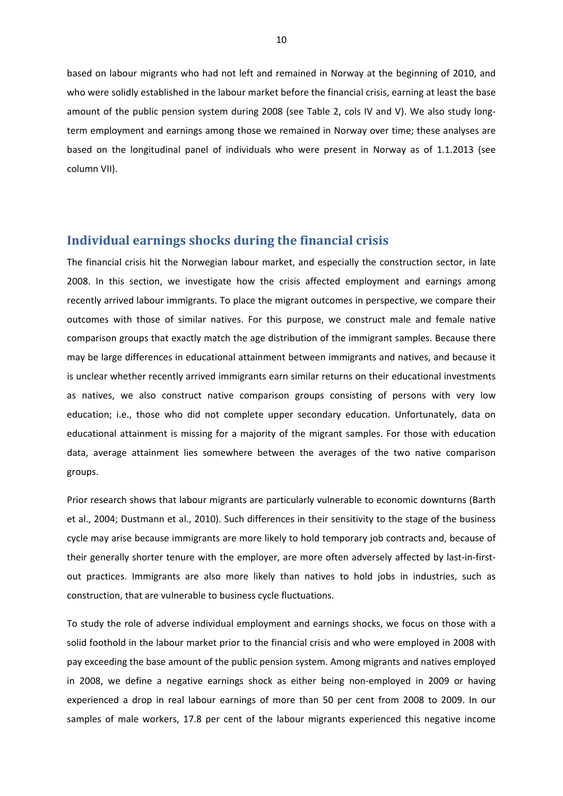based on labour migrants who had not left and remained in Norway at the beginning of 2010, and who were solidly established in the labour market before the financial crisis, earning at least the base amount of the public pension system during 2008 (see Table 2, cols IV and V). We also study longterm employment and earnings among those we remained in Norway over time; these analyses are based on the longitudinal panel of individuals who were present in Norway as of 1.1.2013 (see column VII).

#### **Individual earnings shocks during the financial crisis**

The financial crisis hit the Norwegian labour market, and especially the construction sector, in late 2008. In this section, we investigate how the crisis affected employment and earnings among recently arrived labour immigrants. To place the migrant outcomes in perspective, we compare their outcomes with those of similar natives. For this purpose, we construct male and female native comparison groups that exactly match the age distribution of the immigrant samples. Because there may be large differences in educational attainment between immigrants and natives, and because it is unclear whether recently arrived immigrants earn similar returns on their educational investments as natives, we also construct native comparison groups consisting of persons with very low education; i.e., those who did not complete upper secondary education. Unfortunately, data on educational attainment is missing for a majority of the migrant samples. For those with education data, average attainment lies somewhere between the averages of the two native comparison groups.

Prior research shows that labour migrants are particularly vulnerable to economic downturns (Barth et al., 2004; Dustmann et al., 2010). Such differences in their sensitivity to the stage of the business cycle may arise because immigrants are more likely to hold temporary job contracts and, because of their generally shorter tenure with the employer, are more often adversely affected by last-in-firstout practices. Immigrants are also more likely than natives to hold jobs in industries, such as construction, that are vulnerable to business cycle fluctuations.

To study the role of adverse individual employment and earnings shocks, we focus on those with a solid foothold in the labour market prior to the financial crisis and who were employed in 2008 with pay exceeding the base amount of the public pension system. Among migrants and natives employed in 2008, we define a negative earnings shock as either being non-employed in 2009 or having experienced a drop in real labour earnings of more than 50 per cent from 2008 to 2009. In our samples of male workers, 17.8 per cent of the labour migrants experienced this negative income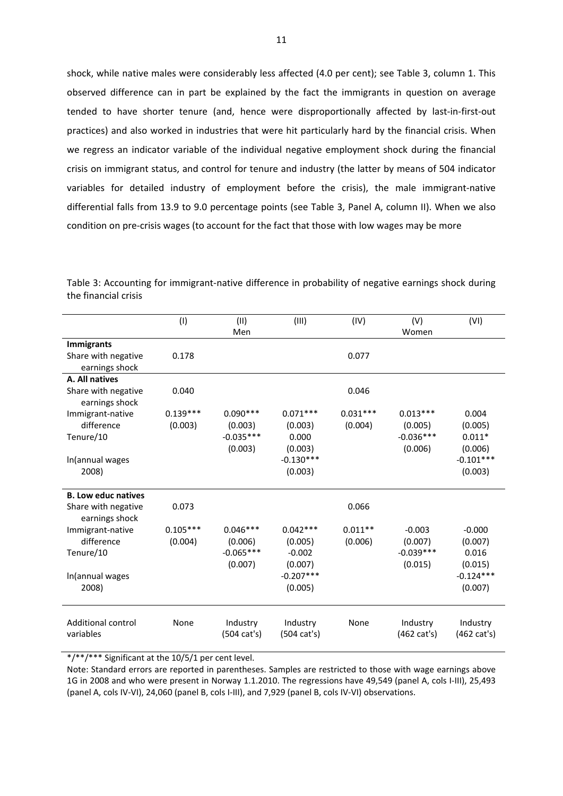shock, while native males were considerably less affected (4.0 per cent); see Table 3, column 1. This observed difference can in part be explained by the fact the immigrants in question on average tended to have shorter tenure (and, hence were disproportionally affected by last-in-first-out practices) and also worked in industries that were hit particularly hard by the financial crisis. When we regress an indicator variable of the individual negative employment shock during the financial crisis on immigrant status, and control for tenure and industry (the latter by means of 504 indicator variables for detailed industry of employment before the crisis), the male immigrant-native differential falls from 13.9 to 9.0 percentage points (see Table 3, Panel A, column II). When we also condition on pre‐crisis wages (to account for the fact that those with low wages may be more

|                                                            | (1)                   | (II)<br>Men                                     | (III)                                        | (IV)                  | (V)<br>Women                                    | (VI)                                    |
|------------------------------------------------------------|-----------------------|-------------------------------------------------|----------------------------------------------|-----------------------|-------------------------------------------------|-----------------------------------------|
| <b>Immigrants</b><br>Share with negative<br>earnings shock | 0.178                 |                                                 |                                              | 0.077                 |                                                 |                                         |
| A. All natives                                             |                       |                                                 |                                              |                       |                                                 |                                         |
| Share with negative<br>earnings shock                      | 0.040                 |                                                 |                                              | 0.046                 |                                                 |                                         |
| Immigrant-native<br>difference<br>Tenure/10                | $0.139***$<br>(0.003) | $0.090***$<br>(0.003)<br>$-0.035***$<br>(0.003) | $0.071***$<br>(0.003)<br>0.000<br>(0.003)    | $0.031***$<br>(0.004) | $0.013***$<br>(0.005)<br>$-0.036***$<br>(0.006) | 0.004<br>(0.005)<br>$0.011*$<br>(0.006) |
| In(annual wages<br>2008)                                   |                       |                                                 | $-0.130***$<br>(0.003)                       |                       |                                                 | $-0.101***$<br>(0.003)                  |
| <b>B. Low educ natives</b>                                 |                       |                                                 |                                              |                       |                                                 |                                         |
| Share with negative<br>earnings shock                      | 0.073                 |                                                 |                                              | 0.066                 |                                                 |                                         |
| Immigrant-native<br>difference<br>Tenure/10                | $0.105***$<br>(0.004) | $0.046***$<br>(0.006)<br>$-0.065***$<br>(0.007) | $0.042***$<br>(0.005)<br>$-0.002$<br>(0.007) | $0.011**$<br>(0.006)  | $-0.003$<br>(0.007)<br>$-0.039***$<br>(0.015)   | $-0.000$<br>(0.007)<br>0.016<br>(0.015) |
| In(annual wages<br>2008)                                   |                       |                                                 | $-0.207***$<br>(0.005)                       |                       |                                                 | $-0.124***$<br>(0.007)                  |
| <b>Additional control</b><br>variables                     | None                  | Industry<br>$(504 \text{ cat's})$               | Industry<br>$(504 \text{ cat's})$            | None                  | Industry<br>(462 cat's)                         | Industry<br>(462 cat's)                 |

Table 3: Accounting for immigrant-native difference in probability of negative earnings shock during the financial crisis

\*/\*\*/\*\*\* Significant at the 10/5/1 per cent level.

Note: Standard errors are reported in parentheses. Samples are restricted to those with wage earnings above 1G in 2008 and who were present in Norway 1.1.2010. The regressions have 49,549 (panel A, cols I‐III), 25,493 (panel A, cols IV‐VI), 24,060 (panel B, cols I‐III), and 7,929 (panel B, cols IV‐VI) observations.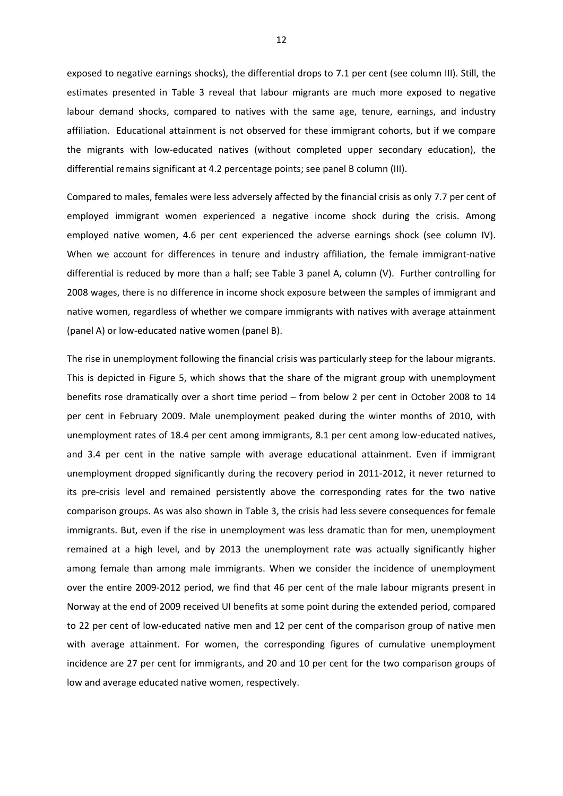exposed to negative earnings shocks), the differential drops to 7.1 per cent (see column III). Still, the estimates presented in Table 3 reveal that labour migrants are much more exposed to negative labour demand shocks, compared to natives with the same age, tenure, earnings, and industry affiliation. Educational attainment is not observed for these immigrant cohorts, but if we compare the migrants with low‐educated natives (without completed upper secondary education), the differential remains significant at 4.2 percentage points; see panel B column (III).

Compared to males, females were less adversely affected by the financial crisis as only 7.7 per cent of employed immigrant women experienced a negative income shock during the crisis. Among employed native women, 4.6 per cent experienced the adverse earnings shock (see column IV). When we account for differences in tenure and industry affiliation, the female immigrant-native differential is reduced by more than a half; see Table 3 panel A, column (V). Further controlling for 2008 wages, there is no difference in income shock exposure between the samples of immigrant and native women, regardless of whether we compare immigrants with natives with average attainment (panel A) or low‐educated native women (panel B).

The rise in unemployment following the financial crisis was particularly steep for the labour migrants. This is depicted in Figure 5, which shows that the share of the migrant group with unemployment benefits rose dramatically over a short time period – from below 2 per cent in October 2008 to 14 per cent in February 2009. Male unemployment peaked during the winter months of 2010, with unemployment rates of 18.4 per cent among immigrants, 8.1 per cent among low‐educated natives, and 3.4 per cent in the native sample with average educational attainment. Even if immigrant unemployment dropped significantly during the recovery period in 2011‐2012, it never returned to its pre-crisis level and remained persistently above the corresponding rates for the two native comparison groups. As was also shown in Table 3, the crisis had less severe consequences for female immigrants. But, even if the rise in unemployment was less dramatic than for men, unemployment remained at a high level, and by 2013 the unemployment rate was actually significantly higher among female than among male immigrants. When we consider the incidence of unemployment over the entire 2009‐2012 period, we find that 46 per cent of the male labour migrants present in Norway at the end of 2009 received UI benefits at some point during the extended period, compared to 22 per cent of low-educated native men and 12 per cent of the comparison group of native men with average attainment. For women, the corresponding figures of cumulative unemployment incidence are 27 per cent for immigrants, and 20 and 10 per cent for the two comparison groups of low and average educated native women, respectively.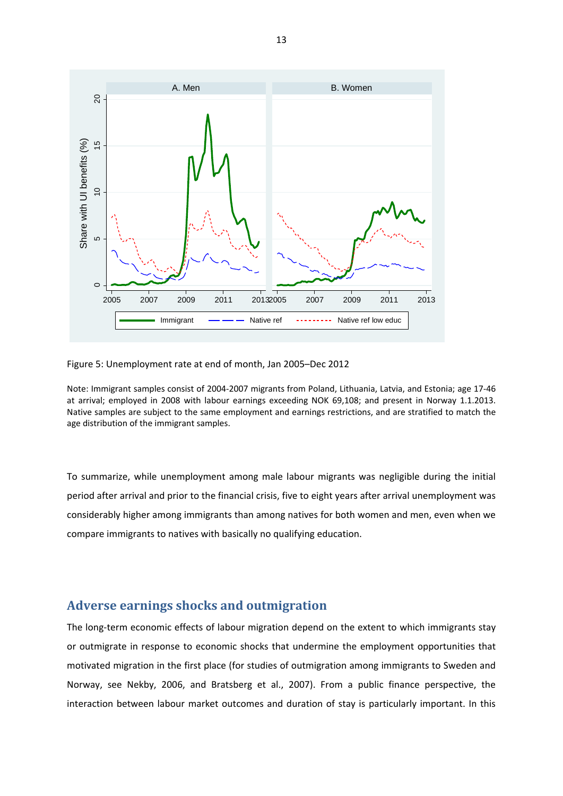

Figure 5: Unemployment rate at end of month, Jan 2005–Dec 2012

Note: Immigrant samples consist of 2004‐2007 migrants from Poland, Lithuania, Latvia, and Estonia; age 17‐46 at arrival; employed in 2008 with labour earnings exceeding NOK 69,108; and present in Norway 1.1.2013. Native samples are subject to the same employment and earnings restrictions, and are stratified to match the age distribution of the immigrant samples.

To summarize, while unemployment among male labour migrants was negligible during the initial period after arrival and prior to the financial crisis, five to eight years after arrival unemployment was considerably higher among immigrants than among natives for both women and men, even when we compare immigrants to natives with basically no qualifying education.

#### **Adverse earnings shocks and outmigration**

The long-term economic effects of labour migration depend on the extent to which immigrants stay or outmigrate in response to economic shocks that undermine the employment opportunities that motivated migration in the first place (for studies of outmigration among immigrants to Sweden and Norway, see Nekby, 2006, and Bratsberg et al., 2007). From a public finance perspective, the interaction between labour market outcomes and duration of stay is particularly important. In this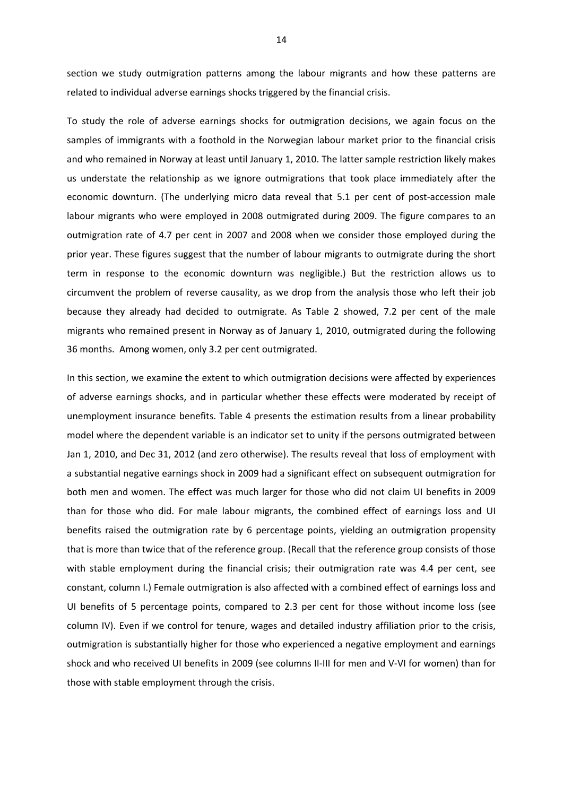section we study outmigration patterns among the labour migrants and how these patterns are related to individual adverse earnings shocks triggered by the financial crisis.

To study the role of adverse earnings shocks for outmigration decisions, we again focus on the samples of immigrants with a foothold in the Norwegian labour market prior to the financial crisis and who remained in Norway at least until January 1, 2010. The latter sample restriction likely makes us understate the relationship as we ignore outmigrations that took place immediately after the economic downturn. (The underlying micro data reveal that 5.1 per cent of post-accession male labour migrants who were employed in 2008 outmigrated during 2009. The figure compares to an outmigration rate of 4.7 per cent in 2007 and 2008 when we consider those employed during the prior year. These figures suggest that the number of labour migrants to outmigrate during the short term in response to the economic downturn was negligible.) But the restriction allows us to circumvent the problem of reverse causality, as we drop from the analysis those who left their job because they already had decided to outmigrate. As Table 2 showed, 7.2 per cent of the male migrants who remained present in Norway as of January 1, 2010, outmigrated during the following 36 months. Among women, only 3.2 per cent outmigrated.

In this section, we examine the extent to which outmigration decisions were affected by experiences of adverse earnings shocks, and in particular whether these effects were moderated by receipt of unemployment insurance benefits. Table 4 presents the estimation results from a linear probability model where the dependent variable is an indicator set to unity if the persons outmigrated between Jan 1, 2010, and Dec 31, 2012 (and zero otherwise). The results reveal that loss of employment with a substantial negative earnings shock in 2009 had a significant effect on subsequent outmigration for both men and women. The effect was much larger for those who did not claim UI benefits in 2009 than for those who did. For male labour migrants, the combined effect of earnings loss and UI benefits raised the outmigration rate by 6 percentage points, yielding an outmigration propensity that is more than twice that of the reference group. (Recall that the reference group consists of those with stable employment during the financial crisis; their outmigration rate was 4.4 per cent, see constant, column I.) Female outmigration is also affected with a combined effect of earnings loss and UI benefits of 5 percentage points, compared to 2.3 per cent for those without income loss (see column IV). Even if we control for tenure, wages and detailed industry affiliation prior to the crisis, outmigration is substantially higher for those who experienced a negative employment and earnings shock and who received UI benefits in 2009 (see columns II-III for men and V-VI for women) than for those with stable employment through the crisis.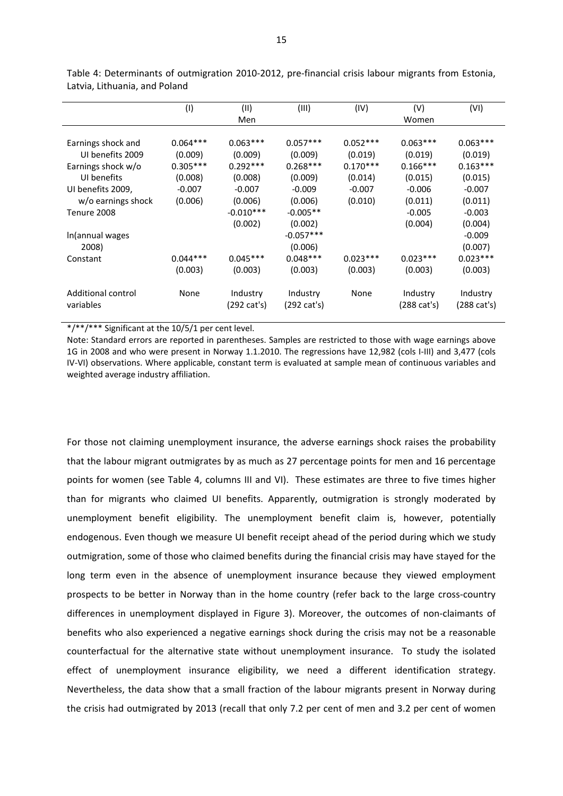|                                        | (1)                   | (II)                    | (III)                   | (IV)                  | (V)                     | (VI)                    |
|----------------------------------------|-----------------------|-------------------------|-------------------------|-----------------------|-------------------------|-------------------------|
|                                        |                       | Men                     |                         |                       | Women                   |                         |
| Earnings shock and                     | $0.064***$            | $0.063***$              | $0.057***$              | $0.052***$            | $0.063***$              | $0.063***$              |
| UI benefits 2009<br>Earnings shock w/o | (0.009)<br>$0.305***$ | (0.009)<br>$0.292***$   | (0.009)<br>$0.268***$   | (0.019)<br>$0.170***$ | (0.019)<br>$0.166***$   | (0.019)<br>$0.163***$   |
| UI benefits<br>UI benefits 2009,       | (0.008)<br>$-0.007$   | (0.008)<br>$-0.007$     | (0.009)<br>$-0.009$     | (0.014)<br>$-0.007$   | (0.015)<br>$-0.006$     | (0.015)<br>$-0.007$     |
| w/o earnings shock                     | (0.006)               | (0.006)                 | (0.006)                 | (0.010)               | (0.011)                 | (0.011)                 |
| Tenure 2008                            |                       | $-0.010***$<br>(0.002)  | $-0.005**$<br>(0.002)   |                       | $-0.005$<br>(0.004)     | $-0.003$<br>(0.004)     |
| In(annual wages<br>2008)               |                       |                         | $-0.057***$<br>(0.006)  |                       |                         | $-0.009$<br>(0.007)     |
| Constant                               | $0.044***$            | $0.045***$              | $0.048***$              | $0.023***$            | $0.023***$              | $0.023***$              |
|                                        | (0.003)               | (0.003)                 | (0.003)                 | (0.003)               | (0.003)                 | (0.003)                 |
| Additional control<br>variables        | None                  | Industry<br>(292 cat's) | Industry<br>(292 cat's) | None                  | Industry<br>(288 cat's) | Industry<br>(288 cat's) |

Table 4: Determinants of outmigration 2010‐2012, pre‐financial crisis labour migrants from Estonia, Latvia, Lithuania, and Poland

\*/\*\*/\*\*\* Significant at the 10/5/1 per cent level.

Note: Standard errors are reported in parentheses. Samples are restricted to those with wage earnings above 1G in 2008 and who were present in Norway 1.1.2010. The regressions have 12,982 (cols I‐III) and 3,477 (cols IV-VI) observations. Where applicable, constant term is evaluated at sample mean of continuous variables and weighted average industry affiliation.

For those not claiming unemployment insurance, the adverse earnings shock raises the probability that the labour migrant outmigrates by as much as 27 percentage points for men and 16 percentage points for women (see Table 4, columns III and VI). These estimates are three to five times higher than for migrants who claimed UI benefits. Apparently, outmigration is strongly moderated by unemployment benefit eligibility. The unemployment benefit claim is, however, potentially endogenous. Even though we measure UI benefit receipt ahead of the period during which we study outmigration, some of those who claimed benefits during the financial crisis may have stayed for the long term even in the absence of unemployment insurance because they viewed employment prospects to be better in Norway than in the home country (refer back to the large cross-country differences in unemployment displayed in Figure 3). Moreover, the outcomes of non‐claimants of benefits who also experienced a negative earnings shock during the crisis may not be a reasonable counterfactual for the alternative state without unemployment insurance. To study the isolated effect of unemployment insurance eligibility, we need a different identification strategy. Nevertheless, the data show that a small fraction of the labour migrants present in Norway during the crisis had outmigrated by 2013 (recall that only 7.2 per cent of men and 3.2 per cent of women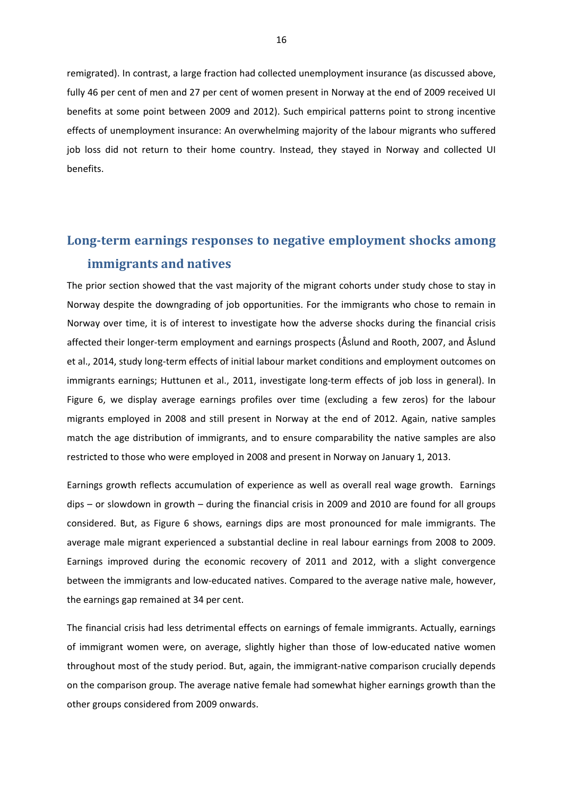remigrated). In contrast, a large fraction had collected unemployment insurance (as discussed above, fully 46 per cent of men and 27 per cent of women present in Norway at the end of 2009 received UI benefits at some point between 2009 and 2012). Such empirical patterns point to strong incentive effects of unemployment insurance: An overwhelming majority of the labour migrants who suffered job loss did not return to their home country. Instead, they stayed in Norway and collected UI benefits.

# **Long‐term earnings responses to negative employment shocks among immigrants and natives**

The prior section showed that the vast majority of the migrant cohorts under study chose to stay in Norway despite the downgrading of job opportunities. For the immigrants who chose to remain in Norway over time, it is of interest to investigate how the adverse shocks during the financial crisis affected their longer‐term employment and earnings prospects (Åslund and Rooth, 2007, and Åslund et al., 2014, study long‐term effects of initial labour market conditions and employment outcomes on immigrants earnings; Huttunen et al., 2011, investigate long-term effects of job loss in general). In Figure 6, we display average earnings profiles over time (excluding a few zeros) for the labour migrants employed in 2008 and still present in Norway at the end of 2012. Again, native samples match the age distribution of immigrants, and to ensure comparability the native samples are also restricted to those who were employed in 2008 and present in Norway on January 1, 2013.

Earnings growth reflects accumulation of experience as well as overall real wage growth. Earnings dips – or slowdown in growth – during the financial crisis in 2009 and 2010 are found for all groups considered. But, as Figure 6 shows, earnings dips are most pronounced for male immigrants. The average male migrant experienced a substantial decline in real labour earnings from 2008 to 2009. Earnings improved during the economic recovery of 2011 and 2012, with a slight convergence between the immigrants and low‐educated natives. Compared to the average native male, however, the earnings gap remained at 34 per cent.

The financial crisis had less detrimental effects on earnings of female immigrants. Actually, earnings of immigrant women were, on average, slightly higher than those of low‐educated native women throughout most of the study period. But, again, the immigrant‐native comparison crucially depends on the comparison group. The average native female had somewhat higher earnings growth than the other groups considered from 2009 onwards.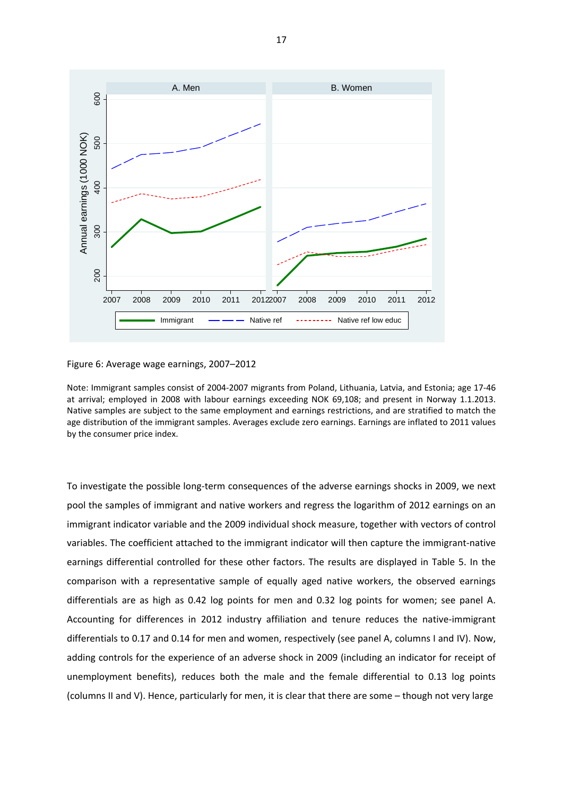

Figure 6: Average wage earnings, 2007–2012

Note: Immigrant samples consist of 2004‐2007 migrants from Poland, Lithuania, Latvia, and Estonia; age 17‐46 at arrival; employed in 2008 with labour earnings exceeding NOK 69,108; and present in Norway 1.1.2013. Native samples are subject to the same employment and earnings restrictions, and are stratified to match the age distribution of the immigrant samples. Averages exclude zero earnings. Earnings are inflated to 2011 values by the consumer price index.

To investigate the possible long‐term consequences of the adverse earnings shocks in 2009, we next pool the samples of immigrant and native workers and regress the logarithm of 2012 earnings on an immigrant indicator variable and the 2009 individual shock measure, together with vectors of control variables. The coefficient attached to the immigrant indicator will then capture the immigrant‐native earnings differential controlled for these other factors. The results are displayed in Table 5. In the comparison with a representative sample of equally aged native workers, the observed earnings differentials are as high as 0.42 log points for men and 0.32 log points for women; see panel A. Accounting for differences in 2012 industry affiliation and tenure reduces the native-immigrant differentials to 0.17 and 0.14 for men and women, respectively (see panel A, columns I and IV). Now, adding controls for the experience of an adverse shock in 2009 (including an indicator for receipt of unemployment benefits), reduces both the male and the female differential to 0.13 log points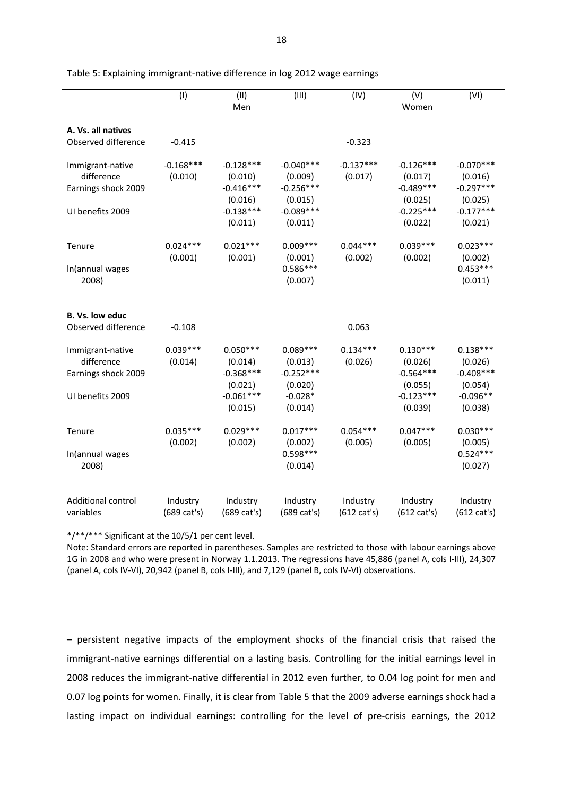|                                                                           | (1)                     | (II)<br>Men                                                                | (III)                                                                      | (IV)                              | (V)<br>Women                                                               | (VI)                                                                       |
|---------------------------------------------------------------------------|-------------------------|----------------------------------------------------------------------------|----------------------------------------------------------------------------|-----------------------------------|----------------------------------------------------------------------------|----------------------------------------------------------------------------|
|                                                                           |                         |                                                                            |                                                                            |                                   |                                                                            |                                                                            |
| A. Vs. all natives                                                        |                         |                                                                            |                                                                            |                                   |                                                                            |                                                                            |
| Observed difference                                                       | $-0.415$                |                                                                            |                                                                            | $-0.323$                          |                                                                            |                                                                            |
| Immigrant-native<br>difference<br>Earnings shock 2009<br>UI benefits 2009 | $-0.168***$<br>(0.010)  | $-0.128***$<br>(0.010)<br>$-0.416***$<br>(0.016)<br>$-0.138***$<br>(0.011) | $-0.040***$<br>(0.009)<br>$-0.256***$<br>(0.015)<br>$-0.089***$<br>(0.011) | $-0.137***$<br>(0.017)            | $-0.126***$<br>(0.017)<br>$-0.489***$<br>(0.025)<br>$-0.225***$<br>(0.022) | $-0.070***$<br>(0.016)<br>$-0.297***$<br>(0.025)<br>$-0.177***$<br>(0.021) |
| Tenure                                                                    | $0.024***$              | $0.021***$                                                                 | $0.009***$                                                                 | $0.044***$                        | $0.039***$                                                                 | $0.023***$                                                                 |
| In(annual wages<br>2008)                                                  | (0.001)                 | (0.001)                                                                    | (0.001)<br>$0.586***$<br>(0.007)                                           | (0.002)                           | (0.002)                                                                    | (0.002)<br>$0.453***$<br>(0.011)                                           |
| B. Vs. low educ                                                           |                         |                                                                            |                                                                            |                                   |                                                                            |                                                                            |
| Observed difference                                                       | $-0.108$                |                                                                            |                                                                            | 0.063                             |                                                                            |                                                                            |
| Immigrant-native<br>difference<br>Earnings shock 2009<br>UI benefits 2009 | $0.039***$<br>(0.014)   | $0.050***$<br>(0.014)<br>$-0.368***$<br>(0.021)<br>$-0.061***$<br>(0.015)  | $0.089***$<br>(0.013)<br>$-0.252***$<br>(0.020)<br>$-0.028*$<br>(0.014)    | $0.134***$<br>(0.026)             | $0.130***$<br>(0.026)<br>$-0.564***$<br>(0.055)<br>$-0.123***$<br>(0.039)  | $0.138***$<br>(0.026)<br>$-0.408***$<br>(0.054)<br>$-0.096**$<br>(0.038)   |
| Tenure                                                                    | $0.035***$<br>(0.002)   | $0.029***$<br>(0.002)                                                      | $0.017***$<br>(0.002)                                                      | $0.054***$<br>(0.005)             | $0.047***$<br>(0.005)                                                      | $0.030***$<br>(0.005)                                                      |
| In(annual wages<br>2008)                                                  |                         |                                                                            | $0.598***$<br>(0.014)                                                      |                                   |                                                                            | $0.524***$<br>(0.027)                                                      |
| Additional control<br>variables                                           | Industry<br>(689 cat's) | Industry<br>(689 cat's)                                                    | Industry<br>(689 cat's)                                                    | Industry<br>$(612 \text{ cat's})$ | Industry<br>$(612 \text{ cat's})$                                          | Industry<br>$(612 \text{ cat's})$                                          |

Table 5: Explaining immigrant‐native difference in log 2012 wage earnings

\*/\*\*/\*\*\* Significant at the 10/5/1 per cent level.

Note: Standard errors are reported in parentheses. Samples are restricted to those with labour earnings above 1G in 2008 and who were present in Norway 1.1.2013. The regressions have 45,886 (panel A, cols I‐III), 24,307 (panel A, cols IV‐VI), 20,942 (panel B, cols I‐III), and 7,129 (panel B, cols IV‐VI) observations.

– persistent negative impacts of the employment shocks of the financial crisis that raised the immigrant-native earnings differential on a lasting basis. Controlling for the initial earnings level in 2008 reduces the immigrant‐native differential in 2012 even further, to 0.04 log point for men and 0.07 log points for women. Finally, it is clear from Table 5 that the 2009 adverse earnings shock had a lasting impact on individual earnings: controlling for the level of pre-crisis earnings, the 2012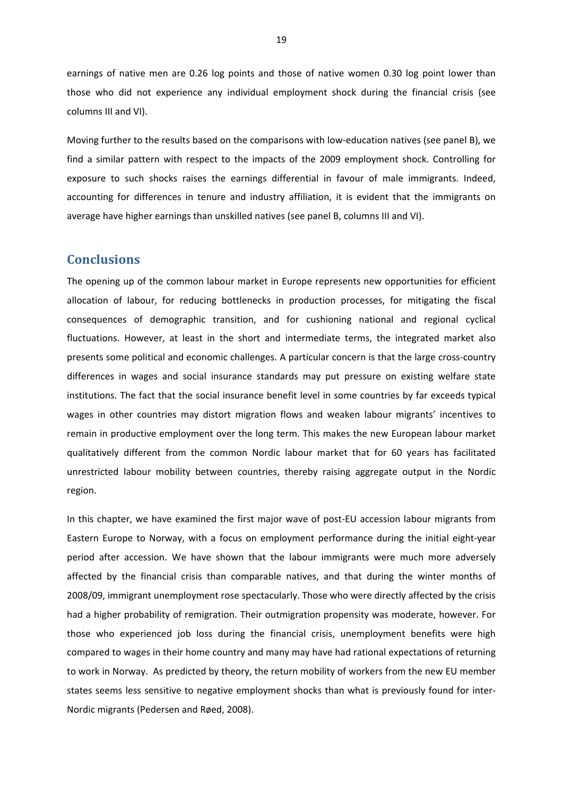earnings of native men are 0.26 log points and those of native women 0.30 log point lower than those who did not experience any individual employment shock during the financial crisis (see columns III and VI).

Moving further to the results based on the comparisons with low-education natives (see panel B), we find a similar pattern with respect to the impacts of the 2009 employment shock. Controlling for exposure to such shocks raises the earnings differential in favour of male immigrants. Indeed, accounting for differences in tenure and industry affiliation, it is evident that the immigrants on average have higher earnings than unskilled natives (see panel B, columns III and VI).

#### **Conclusions**

The opening up of the common labour market in Europe represents new opportunities for efficient allocation of labour, for reducing bottlenecks in production processes, for mitigating the fiscal consequences of demographic transition, and for cushioning national and regional cyclical fluctuations. However, at least in the short and intermediate terms, the integrated market also presents some political and economic challenges. A particular concern is that the large cross-country differences in wages and social insurance standards may put pressure on existing welfare state institutions. The fact that the social insurance benefit level in some countries by far exceeds typical wages in other countries may distort migration flows and weaken labour migrants' incentives to remain in productive employment over the long term. This makes the new European labour market qualitatively different from the common Nordic labour market that for 60 years has facilitated unrestricted labour mobility between countries, thereby raising aggregate output in the Nordic region.

In this chapter, we have examined the first major wave of post-EU accession labour migrants from Eastern Europe to Norway, with a focus on employment performance during the initial eight‐year period after accession. We have shown that the labour immigrants were much more adversely affected by the financial crisis than comparable natives, and that during the winter months of 2008/09, immigrant unemployment rose spectacularly. Those who were directly affected by the crisis had a higher probability of remigration. Their outmigration propensity was moderate, however. For those who experienced job loss during the financial crisis, unemployment benefits were high compared to wages in their home country and many may have had rational expectations of returning to work in Norway. As predicted by theory, the return mobility of workers from the new EU member states seems less sensitive to negative employment shocks than what is previously found for inter‐ Nordic migrants (Pedersen and Røed, 2008).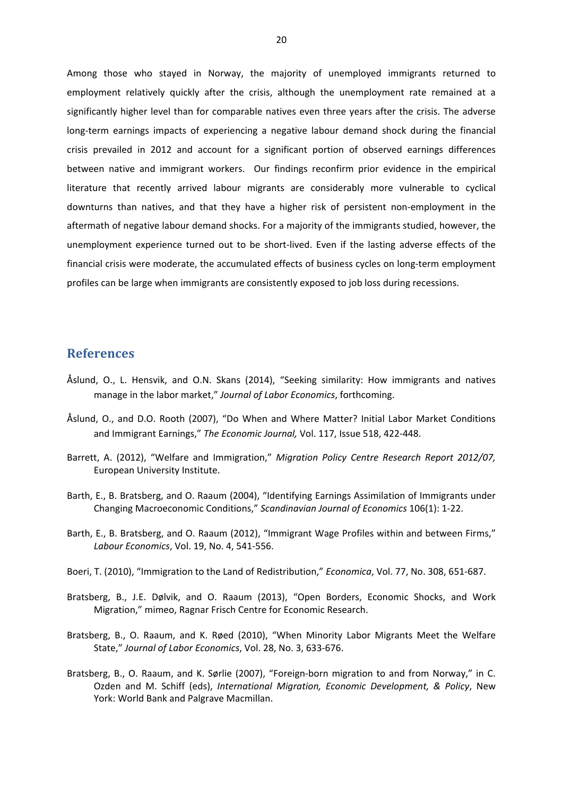Among those who stayed in Norway, the majority of unemployed immigrants returned to employment relatively quickly after the crisis, although the unemployment rate remained at a significantly higher level than for comparable natives even three years after the crisis. The adverse long‐term earnings impacts of experiencing a negative labour demand shock during the financial crisis prevailed in 2012 and account for a significant portion of observed earnings differences between native and immigrant workers. Our findings reconfirm prior evidence in the empirical literature that recently arrived labour migrants are considerably more vulnerable to cyclical downturns than natives, and that they have a higher risk of persistent non‐employment in the aftermath of negative labour demand shocks. For a majority of the immigrants studied, however, the unemployment experience turned out to be short‐lived. Even if the lasting adverse effects of the financial crisis were moderate, the accumulated effects of business cycles on long-term employment profiles can be large when immigrants are consistently exposed to job loss during recessions.

#### **References**

- Åslund, O., L. Hensvik, and O.N. Skans (2014), "Seeking similarity: How immigrants and natives manage in the labor market," *Journal of Labor Economics*, forthcoming.
- Åslund, O., and D.O. Rooth (2007), "Do When and Where Matter? Initial Labor Market Conditions and Immigrant Earnings," *The Economic Journal,* Vol. 117, Issue 518, 422‐448.
- Barrett, A. (2012), "Welfare and Immigration," *Migration Policy Centre Research Report 2012/07,* European University Institute.
- Barth, E., B. Bratsberg, and O. Raaum (2004), "Identifying Earnings Assimilation of Immigrants under Changing Macroeconomic Conditions," *Scandinavian Journal of Economics* 106(1): 1‐22.
- Barth, E., B. Bratsberg, and O. Raaum (2012), "Immigrant Wage Profiles within and between Firms," *Labour Economics*, Vol. 19, No. 4, 541‐556.
- Boeri, T. (2010), "Immigration to the Land of Redistribution," *Economica*, Vol. 77, No. 308, 651‐687.
- Bratsberg, B., J.E. Dølvik, and O. Raaum (2013), "Open Borders, Economic Shocks, and Work Migration," mimeo, Ragnar Frisch Centre for Economic Research.
- Bratsberg, B., O. Raaum, and K. Røed (2010), "When Minority Labor Migrants Meet the Welfare State," *Journal of Labor Economics*, Vol. 28, No. 3, 633‐676.
- Bratsberg, B., O. Raaum, and K. Sørlie (2007), "Foreign‐born migration to and from Norway," in C. Ozden and M. Schiff (eds), *International Migration, Economic Development, & Policy*, New York: World Bank and Palgrave Macmillan.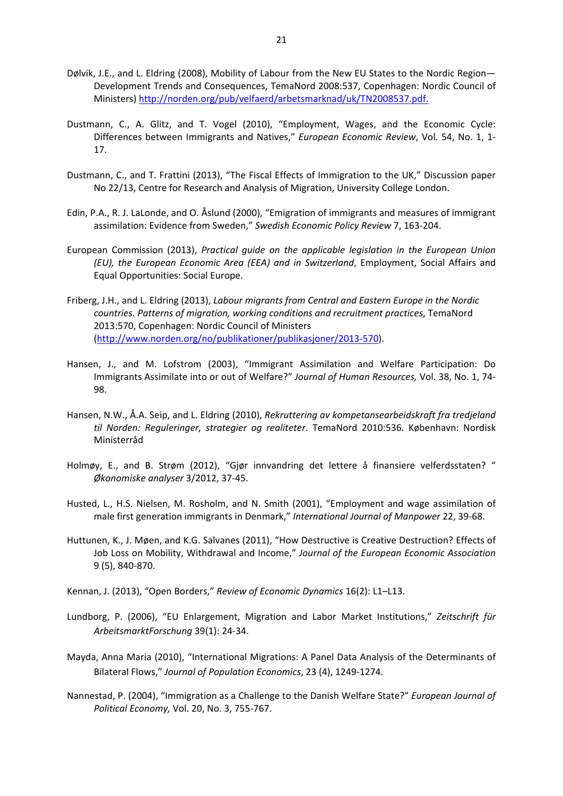- Dølvik, J.E., and L. Eldring (2008), Mobility of Labour from the New EU States to the Nordic Region— Development Trends and Consequences, TemaNord 2008:537, Copenhagen: Nordic Council of Ministers) http://norden.org/pub/velfaerd/arbetsmarknad/uk/TN2008537.pdf.
- Dustmann, C., A. Glitz, and T. Vogel (2010), "Employment, Wages, and the Economic Cycle: Differences between Immigrants and Natives," *European Economic Review*, Vol. 54, No. 1, 1‐ 17.
- Dustmann, C., and T. Frattini (2013), "The Fiscal Effects of Immigration to the UK," Discussion paper No 22/13, Centre for Research and Analysis of Migration, University College London.
- Edin, P.A., R. J. LaLonde, and O. Åslund (2000), "Emigration of immigrants and measures of immigrant assimilation: Evidence from Sweden," *Swedish Economic Policy Review* 7, 163‐204.
- European Commission (2013), *Practical guide on the applicable legislation in the European Union (EU), the European Economic Area (EEA) and in Switzerland*, Employment, Social Affairs and Equal Opportunities: Social Europe.
- Friberg, J.H., and L. Eldring (2013), *Labour migrants from Central and Eastern Europe in the Nordic countries. Patterns of migration, working conditions and recruitment practices*, TemaNord 2013:570, Copenhagen: Nordic Council of Ministers (http://www.norden.org/no/publikationer/publikasjoner/2013‐570).
- Hansen, J., and M. Lofstrom (2003), "Immigrant Assimilation and Welfare Participation: Do Immigrants Assimilate into or out of Welfare?" *Journal of Human Resources,* Vol. 38, No. 1, 74‐ 98.
- Hansen, N.W., Å.A. Seip, and L. Eldring (2010), *Rekruttering av kompetansearbeidskraft fra tredjeland til Norden: Reguleringer, strategier og realiteter*. TemaNord 2010:536. København: Nordisk Ministerråd
- Holmøy, E., and B. Strøm (2012), "Gjør innvandring det lettere å finansiere velferdsstaten? " *Økonomiske analyser* 3/2012, 37‐45.
- Husted, L., H.S. Nielsen, M. Rosholm, and N. Smith (2001), "Employment and wage assimilation of male first generation immigrants in Denmark," *International Journal of Manpower* 22, 39‐68.
- Huttunen, K., J. Møen, and K.G. Salvanes (2011), "How Destructive is Creative Destruction? Effects of Job Loss on Mobility, Withdrawal and Income," *Journal of the European Economic Association* 9 (5), 840‐870.
- Kennan, J. (2013), "Open Borders," *Review of Economic Dynamics* 16(2): L1–L13.
- Lundborg, P. (2006), "EU Enlargement, Migration and Labor Market Institutions," *Zeitschrift für ArbeitsmarktForschung* 39(1): 24‐34.
- Mayda, Anna Maria (2010), "International Migrations: A Panel Data Analysis of the Determinants of Bilateral Flows," *Journal of Population Economics*, 23 (4), 1249‐1274.
- Nannestad, P. (2004), "Immigration as a Challenge to the Danish Welfare State?" *European Journal of Political Economy,* Vol. 20, No. 3, 755‐767.